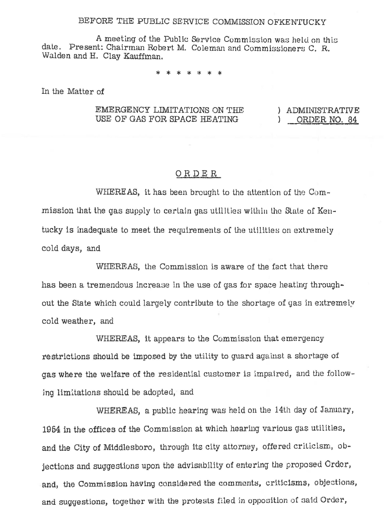## BEFORE THE PUBLIC SERVICE COMMISSION OFKENTUCKY

A meeting of the Public Service Commission was held on this date. Present: Chairman Robert M. Coleman and Commissioners C. R. Walden and H. Clav Kauffman.

In the Matter of

## EMERGENCY LIMITATIONS ON THE USE OF GAS FOR SPACE HEATING

) ADMINISTRATIVE ORDER NO. 84  $\mathcal{L}$ 

## ORDER

WHEREAS, it has been brought to the attention of the Commission that the gas supply to certain gas utilities within the State of Kentucky is inadequate to meet the requirements of the utilities on extremely cold days, and

WHEREAS, the Commission is aware of the fact that there has been a tremendous increase in the use of gas for space heating throughout the State which could largely contribute to the shortage of gas in extremely cold weather, and

WHEREAS, it appears to the Commission that emergency restrictions should be imposed by the utility to quard against a shortage of gas where the welfare of the residential customer is impaired, and the following limitations should be adopted, and

WHEREAS, a public hearing was held on the 14th day of January, 1954 in the offices of the Commission at which hearing various gas utilities, and the City of Middlesboro, through its city attorney, offered criticism, objections and suggestions upon the advisability of entering the proposed Order, and, the Commission having considered the comments, criticisms, objections, and suggestions, together with the protests filed in opposition of said Order,